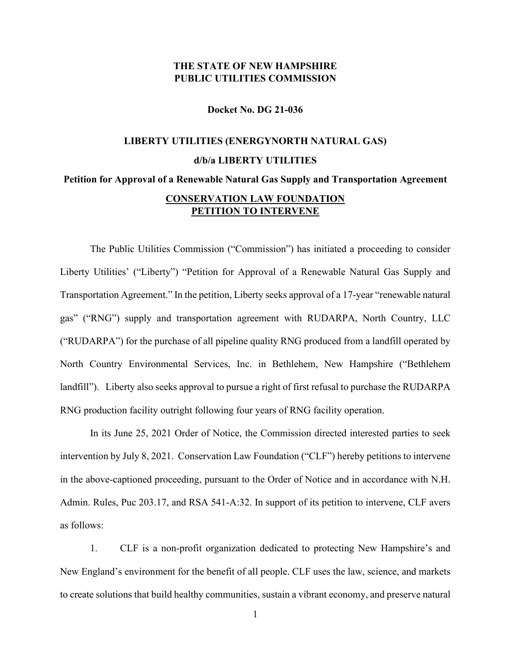## **THE STATE OF NEW HAMPSHIRE PUBLIC UTILITIES COMMISSION**

**Docket No. DG 21-036**

## **LIBERTY UTILITIES (ENERGYNORTH NATURAL GAS) d/b/a LIBERTY UTILITIES Petition for Approval of a Renewable Natural Gas Supply and Transportation Agreement CONSERVATION LAW FOUNDATION PETITION TO INTERVENE**

The Public Utilities Commission ("Commission") has initiated a proceeding to consider Liberty Utilities' ("Liberty") "Petition for Approval of a Renewable Natural Gas Supply and Transportation Agreement." In the petition, Liberty seeks approval of a 17-year "renewable natural gas" ("RNG") supply and transportation agreement with RUDARPA, North Country, LLC ("RUDARPA") for the purchase of all pipeline quality RNG produced from a landfill operated by North Country Environmental Services, Inc. in Bethlehem, New Hampshire ("Bethlehem landfill"). Liberty also seeks approval to pursue a right of first refusal to purchase the RUDARPA RNG production facility outright following four years of RNG facility operation.

In its June 25, 2021 Order of Notice, the Commission directed interested parties to seek intervention by July 8, 2021. Conservation Law Foundation ("CLF") hereby petitions to intervene in the above-captioned proceeding, pursuant to the Order of Notice and in accordance with N.H. Admin. Rules, Puc 203.17, and RSA 541-A:32. In support of its petition to intervene, CLF avers as follows:

1. CLF is a non-profit organization dedicated to protecting New Hampshire's and New England's environment for the benefit of all people. CLF uses the law, science, and markets to create solutions that build healthy communities, sustain a vibrant economy, and preserve natural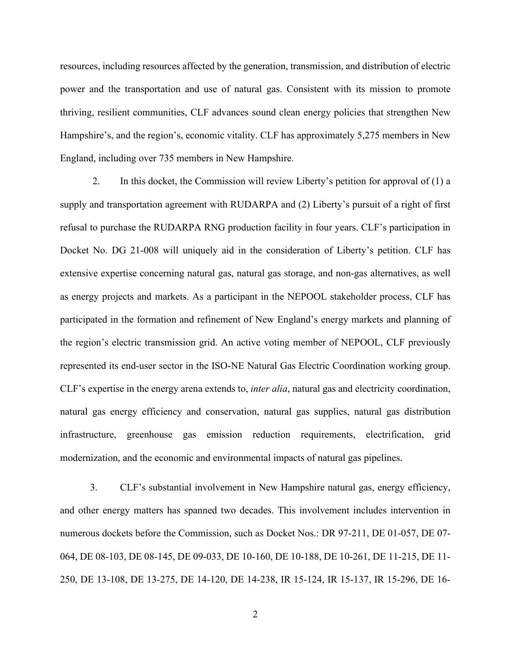resources, including resources affected by the generation, transmission, and distribution of electric power and the transportation and use of natural gas. Consistent with its mission to promote thriving, resilient communities, CLF advances sound clean energy policies that strengthen New Hampshire's, and the region's, economic vitality. CLF has approximately 5,275 members in New England, including over 735 members in New Hampshire.

2. In this docket, the Commission will review Liberty's petition for approval of (1) a supply and transportation agreement with RUDARPA and (2) Liberty's pursuit of a right of first refusal to purchase the RUDARPA RNG production facility in four years. CLF's participation in Docket No. DG 21-008 will uniquely aid in the consideration of Liberty's petition. CLF has extensive expertise concerning natural gas, natural gas storage, and non-gas alternatives, as well as energy projects and markets. As a participant in the NEPOOL stakeholder process, CLF has participated in the formation and refinement of New England's energy markets and planning of the region's electric transmission grid. An active voting member of NEPOOL, CLF previously represented its end-user sector in the ISO-NE Natural Gas Electric Coordination working group. CLF's expertise in the energy arena extends to, *inter alia*, natural gas and electricity coordination, natural gas energy efficiency and conservation, natural gas supplies, natural gas distribution infrastructure, greenhouse gas emission reduction requirements, electrification, grid modernization, and the economic and environmental impacts of natural gas pipelines.

3. CLF's substantial involvement in New Hampshire natural gas, energy efficiency, and other energy matters has spanned two decades. This involvement includes intervention in numerous dockets before the Commission, such as Docket Nos.: DR 97-211, DE 01-057, DE 07- 064, DE 08-103, DE 08-145, DE 09-033, DE 10-160, DE 10-188, DE 10-261, DE 11-215, DE 11- 250, DE 13-108, DE 13-275, DE 14-120, DE 14-238, IR 15-124, IR 15-137, IR 15-296, DE 16-

2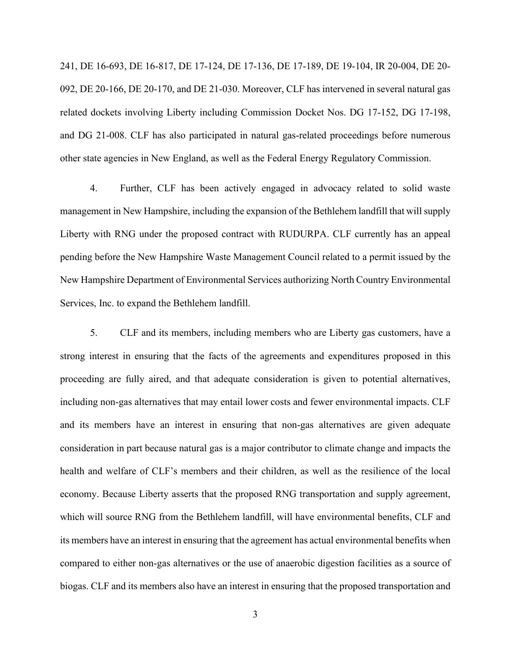241, DE 16-693, DE 16-817, DE 17-124, DE 17-136, DE 17-189, DE 19-104, IR 20-004, DE 20- 092, DE 20-166, DE 20-170, and DE 21-030. Moreover, CLF has intervened in several natural gas related dockets involving Liberty including Commission Docket Nos. DG 17-152, DG 17-198, and DG 21-008. CLF has also participated in natural gas-related proceedings before numerous other state agencies in New England, as well as the Federal Energy Regulatory Commission.

4. Further, CLF has been actively engaged in advocacy related to solid waste management in New Hampshire, including the expansion of the Bethlehem landfill that will supply Liberty with RNG under the proposed contract with RUDURPA. CLF currently has an appeal pending before the New Hampshire Waste Management Council related to a permit issued by the New Hampshire Department of Environmental Services authorizing North Country Environmental Services, Inc. to expand the Bethlehem landfill.

5. CLF and its members, including members who are Liberty gas customers, have a strong interest in ensuring that the facts of the agreements and expenditures proposed in this proceeding are fully aired, and that adequate consideration is given to potential alternatives, including non-gas alternatives that may entail lower costs and fewer environmental impacts. CLF and its members have an interest in ensuring that non-gas alternatives are given adequate consideration in part because natural gas is a major contributor to climate change and impacts the health and welfare of CLF's members and their children, as well as the resilience of the local economy. Because Liberty asserts that the proposed RNG transportation and supply agreement, which will source RNG from the Bethlehem landfill, will have environmental benefits, CLF and its members have an interest in ensuring that the agreement has actual environmental benefits when compared to either non-gas alternatives or the use of anaerobic digestion facilities as a source of biogas. CLF and its members also have an interest in ensuring that the proposed transportation and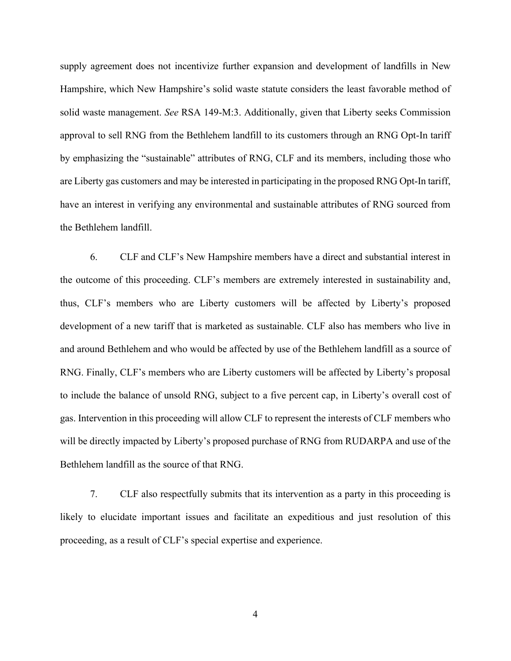supply agreement does not incentivize further expansion and development of landfills in New Hampshire, which New Hampshire's solid waste statute considers the least favorable method of solid waste management. *See* RSA 149-M:3. Additionally, given that Liberty seeks Commission approval to sell RNG from the Bethlehem landfill to its customers through an RNG Opt-In tariff by emphasizing the "sustainable" attributes of RNG, CLF and its members, including those who are Liberty gas customers and may be interested in participating in the proposed RNG Opt-In tariff, have an interest in verifying any environmental and sustainable attributes of RNG sourced from the Bethlehem landfill.

6. CLF and CLF's New Hampshire members have a direct and substantial interest in the outcome of this proceeding. CLF's members are extremely interested in sustainability and, thus, CLF's members who are Liberty customers will be affected by Liberty's proposed development of a new tariff that is marketed as sustainable. CLF also has members who live in and around Bethlehem and who would be affected by use of the Bethlehem landfill as a source of RNG. Finally, CLF's members who are Liberty customers will be affected by Liberty's proposal to include the balance of unsold RNG, subject to a five percent cap, in Liberty's overall cost of gas. Intervention in this proceeding will allow CLF to represent the interests of CLF members who will be directly impacted by Liberty's proposed purchase of RNG from RUDARPA and use of the Bethlehem landfill as the source of that RNG.

7. CLF also respectfully submits that its intervention as a party in this proceeding is likely to elucidate important issues and facilitate an expeditious and just resolution of this proceeding, as a result of CLF's special expertise and experience.